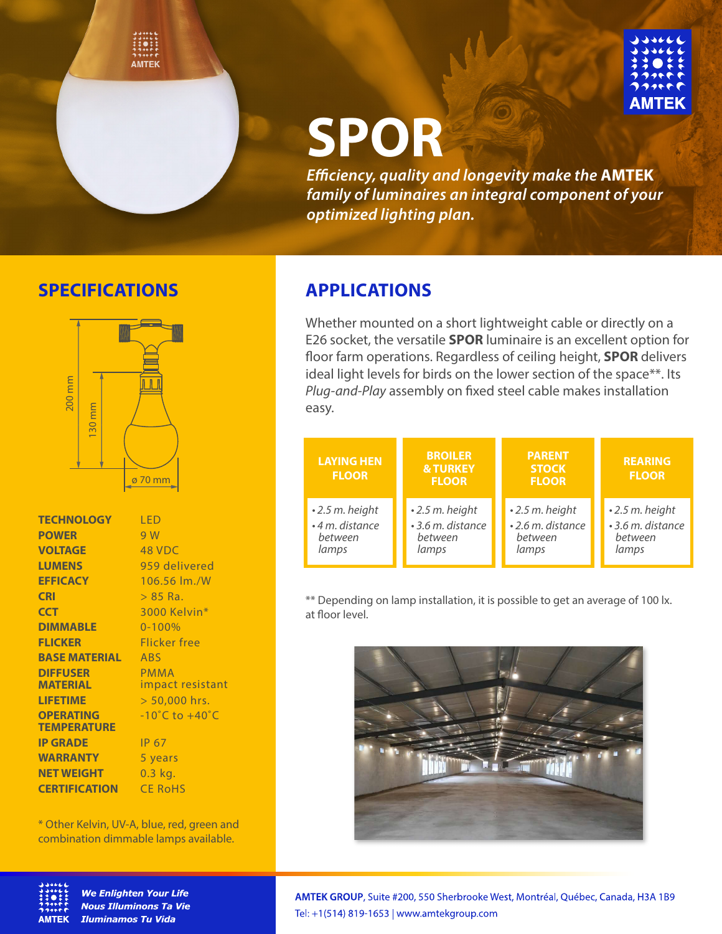



# **SPOR**

*Eciency, quality and longevity make the* **AMTEK** *family of luminaires an integral component of your optimized lighting plan.*

## **SPECIFICATIONS APPLICATIONS**



| <b>TECHNOLOGY</b>    | LED                                |
|----------------------|------------------------------------|
| <b>POWER</b>         | 9 W                                |
| <b>VOLTAGE</b>       | 48 VDC                             |
| <b>LUMENS</b>        | 959 delivered                      |
| <b>EFFICACY</b>      | 106.56 lm./W                       |
| <b>CRI</b>           | > 85 Ra.                           |
| <b>CCT</b>           | 3000 Kelvin*                       |
| <b>DIMMABLE</b>      | $0 - 100%$                         |
| <b>FLICKER</b>       | Flicker free                       |
| <b>BASE MATERIAL</b> | <b>ABS</b>                         |
| <b>DIFFUSER</b>      | <b>PMMA</b>                        |
| <b>MATERIAL</b>      | impact resistant                   |
| <b>LIFETIME</b>      | > 50,000 hrs.                      |
| <b>OPERATING</b>     | $-10^{\circ}$ C to $+40^{\circ}$ C |
| <b>TEMPERATURE</b>   |                                    |
| <b>IP GRADE</b>      | IP 67                              |
| <b>WARRANTY</b>      | 5 years                            |
| <b>NET WEIGHT</b>    | $0.3$ kg.                          |
| <b>CERTIFICATION</b> | <b>CE RoHS</b>                     |
|                      |                                    |

\* Other Kelvin, UV-A, blue, red, green and combination dimmable lamps available.



**We Enlighten Your Life Nous Illuminons Ta Vie Iluminamos Tu Vida** 

Whether mounted on a short lightweight cable or directly on a E26 socket, the versatile **SPOR** luminaire is an excellent option for floor farm operations. Regardless of ceiling height, **SPOR** delivers ideal light levels for birds on the lower section of the space\*\*. Its Plug-and-Play assembly on fixed steel cable makes installation easy.

| <b>LAYING HEN</b><br><b>FLOOR</b> | <b>BROILER</b><br><b>&amp; TURKEY</b><br><b>FLOOR</b> | <b>PARENT</b><br><b>STOCK</b><br><b>FLOOR</b> | <b>REARING</b><br><b>FLOOR</b> |
|-----------------------------------|-------------------------------------------------------|-----------------------------------------------|--------------------------------|
| $\cdot$ 2.5 m. height             | $\cdot$ 2.5 m. height                                 | $\cdot$ 2.5 m. height                         | $\cdot$ 2.5 m. height          |
| • 4 m. distance                   | • 3.6 m. distance                                     | • 2.6 m. distance                             | • 3.6 m. distance              |
| between                           | between                                               | between                                       | between                        |
| lamps                             | lamps                                                 | lamps                                         | lamps                          |

\*\* Depending on lamp installation, it is possible to get an average of 100 lx. at floor level



AMTEK GROUP, Suite #200, 550 Sherbrooke West, Montréal, Québec, Canada, H3A 1B9 Tel: +1(514) 819-1653 | www.amtekgroup.com